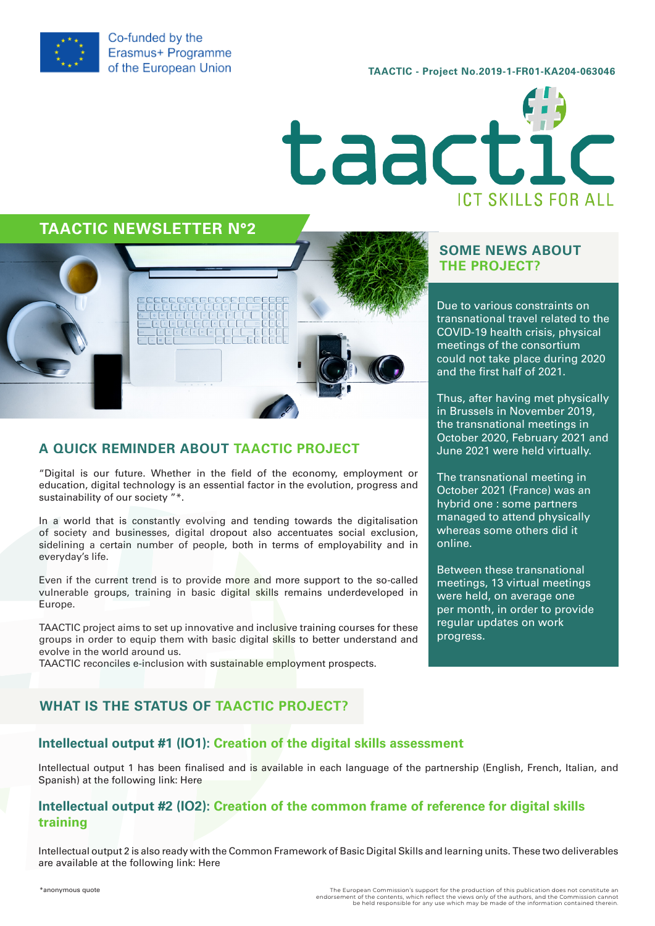

Co-funded by the Erasmus+ Programme of the European Union

TAACTIC - Project No.2019-1-FR01-KA204-063046



## TAACTIC NEWSLETTER N°2



## A QUICK REMINDER ABOUT TAACTIC PROJECT

"Digital is our future. Whether in the field of the economy, employment or education, digital technology is an essential factor in the evolution, progress and sustainability of our society "\*.

In a world that is constantly evolving and tending towards the digitalisation of society and businesses, digital dropout also accentuates social exclusion, sidelining a certain number of people, both in terms of employability and in everyday's life.

Even if the current trend is to provide more and more support to the so-called vulnerable groups, training in basic digital skills remains underdeveloped in Europe.

TAACTIC project aims to set up innovative and inclusive training courses for these groups in order to equip them with basic digital skills to better understand and evolve in the world around us.

TAACTIC reconciles e-inclusion with sustainable employment prospects.

## SOME NEWS ABOUT THE PROJECT?

Due to various constraints on transnational travel related to the COVID-19 health crisis, physical meetings of the consortium could not take place during 2020 and the first half of 2021.

Thus, after having met physically in Brussels in November 2019, the transnational meetings in October 2020, February 2021 and June 2021 were held virtually.

The transnational meeting in October 2021 (France) was an hybrid one : some partners managed to attend physically whereas some others did it online.

Between these transnational meetings, 13 virtual meetings were held, on average one per month, in order to provide regular updates on work progress.

## WHAT IS THE STATUS OF TAACTIC PROJECT?

### Intellectual output #1 (IO1): Creation of the digital skills assessment

Intellectual output 1 has been finalised and is available in each language of the partnership (English, French, Italian, and Spanish) at the following link: [Here](https://taactic.eu/forum/)

#### Intellectual output #2 (IO2): Creation of the common frame of reference for digital skills training

Intellectual output 2 is also ready with the Common Framework of Basic Digital Skills and learning units. These two deliverables are available at the following link: [Here](https://taactic.eu/forum/)